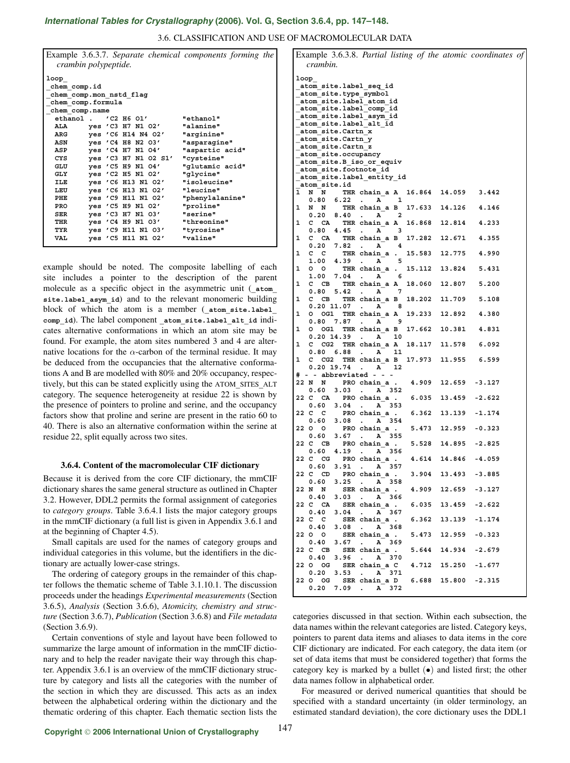# *International Tables for Crystallography* **[\(2006\). Vol. G, Section 3.6.4, pp. 147–148.](http://it.iucr.org/Ga/ch3o6v0001/sec3o6o4/)**

3.6. CLASSIFICATION AND USE OF MACROMOLECULAR DATA

| crambin polypeptide.    |  |            |                      | Example 3.6.3.7. Separate chemical components forming the |  |  |  |  |
|-------------------------|--|------------|----------------------|-----------------------------------------------------------|--|--|--|--|
| loop                    |  |            |                      |                                                           |  |  |  |  |
| chem comp.id            |  |            |                      |                                                           |  |  |  |  |
| chem comp.mon nstd flag |  |            |                      |                                                           |  |  |  |  |
| chem comp.formula       |  |            |                      |                                                           |  |  |  |  |
| chem comp.name          |  |            |                      |                                                           |  |  |  |  |
| ethanol .               |  |            | $'$ C2 H6 O1 $'$     | "ethanol"                                                 |  |  |  |  |
| ALA                     |  |            | yes 'C3 H7 N1 02'    | "alanine"                                                 |  |  |  |  |
| ARG                     |  |            | yes 'C6 H14 N4 02'   | "arginine"                                                |  |  |  |  |
| ASN                     |  |            | yes 'C4 H8 N2 03'    | "asparagine"                                              |  |  |  |  |
| ASP                     |  | yes 'C4 H7 | N1 04'               | "aspartic acid"                                           |  |  |  |  |
| CYS                     |  |            | yes 'C3 H7 N1 02 S1' | "cysteine"                                                |  |  |  |  |
| GLU                     |  |            | yes 'C5 H9 N1 04'    | "glutamic acid"                                           |  |  |  |  |
| GLY                     |  |            | yes 'C2 H5 N1 02'    | "glycine"                                                 |  |  |  |  |
| ILE                     |  |            | yes 'C6 H13 N1 02'   | "isoleucine"                                              |  |  |  |  |
| LEU                     |  |            | yes 'C6 H13 N1 02'   | "leucine"                                                 |  |  |  |  |
| PHE                     |  |            | yes 'C9 H11 N1 02'   | "phenylalanine"                                           |  |  |  |  |
| PRO                     |  |            | yes 'C5 H9 N1 02'    | "proline"                                                 |  |  |  |  |
| SER                     |  |            | yes 'C3 H7 N1 03'    | "serine"                                                  |  |  |  |  |
| THR                     |  |            | yes 'C4 H9 N1 03'    | "threonine"                                               |  |  |  |  |
| TYR                     |  |            | yes 'C9 H11 N1 03'   | "tyrosine"                                                |  |  |  |  |
| VAL                     |  |            | yes 'C5 H11 N1 02'   | "valine"                                                  |  |  |  |  |
|                         |  |            |                      |                                                           |  |  |  |  |

example should be noted. The composite labelling of each site includes a pointer to the description of the parent molecule as a specific object in the asymmetric unit (**\_atom\_ site.label\_asym\_id**) and to the relevant monomeric building block of which the atom is a member (**\_atom\_site.label\_** comp id). The label component atom site.label alt id indicates alternative conformations in which an atom site may be found. For example, the atom sites numbered 3 and 4 are alternative locations for the  $\alpha$ -carbon of the terminal residue. It may be deduced from the occupancies that the alternative conformations A and B are modelled with 80% and 20% occupancy, respectively, but this can be stated explicitly using the ATOM**\_**SITES**\_**ALT category. The sequence heterogeneity at residue 22 is shown by the presence of pointers to proline and serine, and the occupancy factors show that proline and serine are present in the ratio 60 to 40. There is also an alternative conformation within the serine at residue 22, split equally across two sites.

### **3.6.4. Content of the macromolecular CIF dictionary**

Because it is derived from the core CIF dictionary, the mmCIF dictionary shares the same general structure as outlined in Chapter 3.2. However, DDL2 permits the formal assignment of categories to *category groups*. Table 3.6.4.1 lists the major category groups in the mmCIF dictionary (a full list is given in Appendix 3.6.1 and at the beginning of Chapter 4.5).

Small capitals are used for the names of category groups and individual categories in this volume, but the identifiers in the dictionary are actually lower-case strings.

The ordering of category groups in the remainder of this chapter follows the thematic scheme of Table 3.1.10.1. The discussion proceeds under the headings *Experimental measurements* (Section 3.6.5), *Analysis* (Section 3.6.6), *Atomicity, chemistry and structure* (Section 3.6.7), *Publication* (Section 3.6.8) and *File metadata* (Section 3.6.9).

Certain conventions of style and layout have been followed to summarize the large amount of information in the mmCIF dictionary and to help the reader navigate their way through this chapter. Appendix 3.6.1 is an overview of the mmCIF dictionary structure by category and lists all the categories with the number of the section in which they are discussed. This acts as an index between the alphabetical ordering within the dictionary and the thematic ordering of this chapter. Each thematic section lists the

| Example 3.6.3.8. Partial listing of the atomic coordinates of                                 |               |        |                           |  |  |  |  |  |
|-----------------------------------------------------------------------------------------------|---------------|--------|---------------------------|--|--|--|--|--|
| crambin.                                                                                      |               |        |                           |  |  |  |  |  |
| loop<br>_atom_site.label_seq_id                                                               |               |        |                           |  |  |  |  |  |
| atom site.type symbol                                                                         |               |        |                           |  |  |  |  |  |
| atom site.label atom id<br>atom site.label comp id                                            |               |        |                           |  |  |  |  |  |
| atom site.label asym id                                                                       |               |        |                           |  |  |  |  |  |
| atom site.label alt id<br>_atom_site.Cartn_x                                                  |               |        |                           |  |  |  |  |  |
| atom site. Cartn y                                                                            |               |        |                           |  |  |  |  |  |
| atom site.Cartn z<br>atom site.occupancy                                                      |               |        |                           |  |  |  |  |  |
| atom site.B iso or equiv                                                                      |               |        |                           |  |  |  |  |  |
| atom site.footnote id<br>atom site.label entity id                                            |               |        |                           |  |  |  |  |  |
| atom site.id                                                                                  |               |        |                           |  |  |  |  |  |
| $\mathbf{1}$<br>N N<br>THR chain a A 16.864 14.059 3.442<br>$0.80$ 6.22<br>$A \t1$            |               |        |                           |  |  |  |  |  |
| $\sim$ $\sim$<br>1<br>N N THR chain a B 17.633 14.126 4.146                                   |               |        |                           |  |  |  |  |  |
| 0.20 8.40<br>$A$ 2<br>$\blacksquare$ .<br>C CA THR chain a A                                  |               |        |                           |  |  |  |  |  |
| 1<br>$0.80 \quad 4.45$ .<br>$A$ 3                                                             | 16.868 12.814 |        | 4.233                     |  |  |  |  |  |
| CA THR chain_a B 17.282 12.671<br>1<br>c<br>0.20 7.82                                         |               |        | 4.355                     |  |  |  |  |  |
| $A \t 4$<br>$\sim$<br>$C$ $C$<br>THR chain_a . 15.583 12.775<br>1                             |               |        | 4.990                     |  |  |  |  |  |
| $1.00$ 4.39<br>A 5<br>$\sim$                                                                  |               |        |                           |  |  |  |  |  |
| THR chain a . 15.112 13.824<br>1<br>$\circ$ $\circ$<br>$1.00$ 7.04<br>$A \t 6$<br>$\sim$      |               |        | 5.431                     |  |  |  |  |  |
| C CB THR chain a A 18.060 12.807 5.200<br>1                                                   |               |        |                           |  |  |  |  |  |
| 0.80 5.42<br>A 7<br>$\sim$<br>THR chain a B 18.202 11.709<br>1<br>$C$ $CB$                    |               |        | 5.108                     |  |  |  |  |  |
| $0.20$ 11.07.<br>A 8                                                                          |               |        |                           |  |  |  |  |  |
| 1<br>0 OG1 THR chain a A 19.233 12.892<br>0.80<br>$7.87$ .<br>A 9                             |               |        | 4.380                     |  |  |  |  |  |
| OG1 THR chain a B<br>1<br>٥                                                                   | 17.662 10.381 |        | 4.831                     |  |  |  |  |  |
| $0.20$ 14.39.<br>A 10<br>1<br>с<br>CG2 THR chain a A                                          | 18.117 11.578 |        | 6.092                     |  |  |  |  |  |
| $0.80$ $6.88$<br>A 11<br>$\sim 10$                                                            |               |        |                           |  |  |  |  |  |
| CG2<br>THR chain a B 17.973 11.955<br>1<br>c<br>0.20 19.74 .<br>A 12                          |               |        | 6.599                     |  |  |  |  |  |
| # - - abbreviated - -                                                                         |               |        |                           |  |  |  |  |  |
| PRO chain a . 4.909 12.659<br>22 N N<br>0.60<br>3.03<br>$\mathbf{A}$ 352                      |               |        | $-3.127$                  |  |  |  |  |  |
| 22 C<br>CA<br>PRO chain a .                                                                   | 6.035 13.459  |        | $-2.622$                  |  |  |  |  |  |
| 0.60 3.04<br>A 353<br>$\sim$<br>22 C C<br>PRO chain a . 6.362 13.139                          |               |        | $-1.174$                  |  |  |  |  |  |
| $0.60$ 3.08<br>A 354<br>$\sim$ $\sim$                                                         |               |        |                           |  |  |  |  |  |
| 22 0 0<br>PRO chain a .<br>$0.60$ 3.67<br>$\sim 100$<br>A 355                                 |               |        | 5.473 12.959 -0.323       |  |  |  |  |  |
| 22<br>C<br>CB<br>PRO chain_a .                                                                | 5.528         | 14.895 | $-2.825$                  |  |  |  |  |  |
| 0.60<br>4.19.<br>A 356<br>22 C CG<br>PRO chain a .                                            |               |        | $4.614$ $14.846$ $-4.059$ |  |  |  |  |  |
| 3.91<br>0.60<br>A 357<br>$\bullet$                                                            |               |        |                           |  |  |  |  |  |
| 22 C CD<br>PRO chain a .<br>0.60<br>3.25<br>A 358<br>$\ddot{\phantom{a}}$                     | 3.904 13.493  |        | $-3.885$                  |  |  |  |  |  |
| SER chain a.<br>22 N<br>$\mathbf N$                                                           | 4.909 12.659  |        | $-3.127$                  |  |  |  |  |  |
| 0.40<br>3.03<br>A 366<br>$\ddot{\phantom{0}}$<br>22 C CA<br>SER chain a .                     | 6.035 13.459  |        | $-2.622$                  |  |  |  |  |  |
| 0.40<br>3.04<br>A 367<br>$\sim$                                                               |               |        |                           |  |  |  |  |  |
| 22 C C<br>SER chain a.<br>0.40<br>3.08<br>A 368<br>$\mathcal{L}_{\mathbf{r}}$                 | 6.362 13.139  |        | $-1.174$                  |  |  |  |  |  |
| SER chain a.<br>22 O O                                                                        | 5.473 12.959  |        | $-0.323$                  |  |  |  |  |  |
| 0.40<br>3.67<br>A 369<br>$\ddot{\phantom{0}}$<br>SER chain a . 5.644 14.934<br>22 C CB        |               |        | $-2.679$                  |  |  |  |  |  |
| 0.40<br>3.96<br>$\sim$<br>A 370                                                               |               |        |                           |  |  |  |  |  |
| SER chain a C 4.712 15.250 -1.677<br>22 O OG<br>0.20<br>3.53<br>A 371<br>$\ddot{\phantom{0}}$ |               |        |                           |  |  |  |  |  |
| SER chain a D 6.688 15.800 -2.315<br>22 O OG                                                  |               |        |                           |  |  |  |  |  |
| 0.20<br>7.09<br>372<br>. A                                                                    |               |        |                           |  |  |  |  |  |

categories discussed in that section. Within each subsection, the data names within the relevant categories are listed. Category keys, pointers to parent data items and aliases to data items in the core CIF dictionary are indicated. For each category, the data item (or set of data items that must be considered together) that forms the category key is marked by a bullet  $(\bullet)$  and listed first; the other data names follow in alphabetical order.

For measured or derived numerical quantities that should be specified with a standard uncertainty (in older terminology, an estimated standard deviation), the core dictionary uses the DDL1